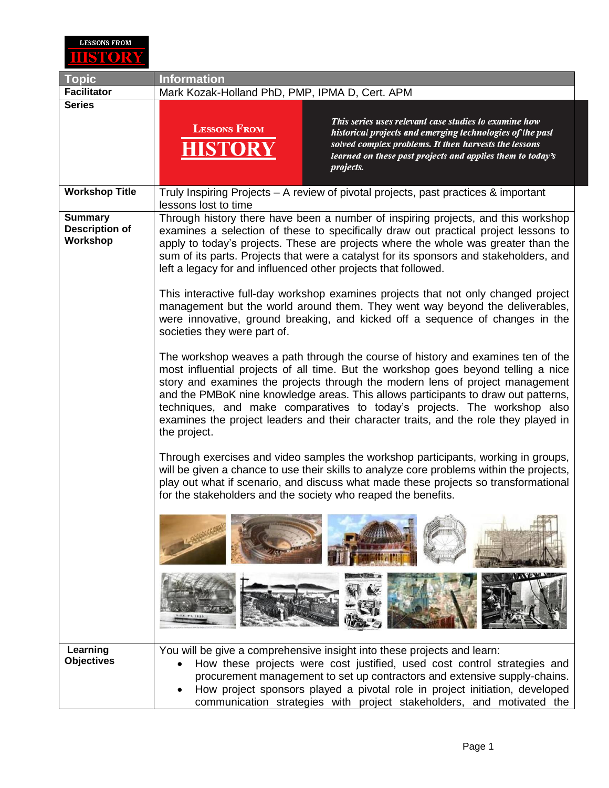

| <b>Topic</b>                                        | <b>Information</b>                                                                                                                                                                                                                                                                                                                                                                                                                                                                                                                                                                                                                                                                                                                                                                                                                                                                                                                                                                                                                                                                                                                                                                                                                                     |
|-----------------------------------------------------|--------------------------------------------------------------------------------------------------------------------------------------------------------------------------------------------------------------------------------------------------------------------------------------------------------------------------------------------------------------------------------------------------------------------------------------------------------------------------------------------------------------------------------------------------------------------------------------------------------------------------------------------------------------------------------------------------------------------------------------------------------------------------------------------------------------------------------------------------------------------------------------------------------------------------------------------------------------------------------------------------------------------------------------------------------------------------------------------------------------------------------------------------------------------------------------------------------------------------------------------------------|
| <b>Facilitator</b>                                  | Mark Kozak-Holland PhD, PMP, IPMA D, Cert. APM                                                                                                                                                                                                                                                                                                                                                                                                                                                                                                                                                                                                                                                                                                                                                                                                                                                                                                                                                                                                                                                                                                                                                                                                         |
| <b>Series</b>                                       | This series uses relevant case studies to examine how<br><b>LESSONS FROM</b><br>historical projects and emerging technologies of the past<br>solved complex problems. It then harvests the lessons<br>learned on these past projects and applies them to today's<br>projects.                                                                                                                                                                                                                                                                                                                                                                                                                                                                                                                                                                                                                                                                                                                                                                                                                                                                                                                                                                          |
| <b>Workshop Title</b>                               | Truly Inspiring Projects – A review of pivotal projects, past practices & important<br>lessons lost to time                                                                                                                                                                                                                                                                                                                                                                                                                                                                                                                                                                                                                                                                                                                                                                                                                                                                                                                                                                                                                                                                                                                                            |
| <b>Summary</b><br><b>Description of</b><br>Workshop | Through history there have been a number of inspiring projects, and this workshop<br>examines a selection of these to specifically draw out practical project lessons to<br>apply to today's projects. These are projects where the whole was greater than the<br>sum of its parts. Projects that were a catalyst for its sponsors and stakeholders, and<br>left a legacy for and influenced other projects that followed.<br>This interactive full-day workshop examines projects that not only changed project<br>management but the world around them. They went way beyond the deliverables,<br>were innovative, ground breaking, and kicked off a sequence of changes in the<br>societies they were part of.<br>The workshop weaves a path through the course of history and examines ten of the<br>most influential projects of all time. But the workshop goes beyond telling a nice<br>story and examines the projects through the modern lens of project management<br>and the PMBoK nine knowledge areas. This allows participants to draw out patterns,<br>techniques, and make comparatives to today's projects. The workshop also<br>examines the project leaders and their character traits, and the role they played in<br>the project. |
|                                                     | Through exercises and video samples the workshop participants, working in groups,<br>will be given a chance to use their skills to analyze core problems within the projects,<br>play out what if scenario, and discuss what made these projects so transformational<br>for the stakeholders and the society who reaped the benefits.                                                                                                                                                                                                                                                                                                                                                                                                                                                                                                                                                                                                                                                                                                                                                                                                                                                                                                                  |
|                                                     | <b>PARTICIPITY</b><br>Barriot Com                                                                                                                                                                                                                                                                                                                                                                                                                                                                                                                                                                                                                                                                                                                                                                                                                                                                                                                                                                                                                                                                                                                                                                                                                      |
|                                                     |                                                                                                                                                                                                                                                                                                                                                                                                                                                                                                                                                                                                                                                                                                                                                                                                                                                                                                                                                                                                                                                                                                                                                                                                                                                        |
| Learning<br><b>Objectives</b>                       | You will be give a comprehensive insight into these projects and learn:<br>How these projects were cost justified, used cost control strategies and<br>procurement management to set up contractors and extensive supply-chains.<br>How project sponsors played a pivotal role in project initiation, developed<br>communication strategies with project stakeholders, and motivated the                                                                                                                                                                                                                                                                                                                                                                                                                                                                                                                                                                                                                                                                                                                                                                                                                                                               |